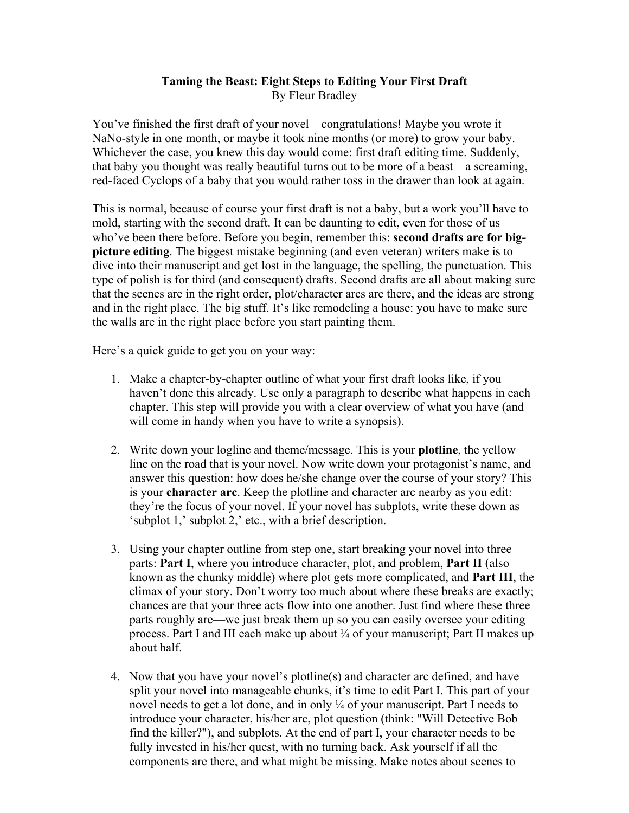## **Taming the Beast: Eight Steps to Editing Your First Draft** By Fleur Bradley

You've finished the first draft of your novel—congratulations! Maybe you wrote it NaNo-style in one month, or maybe it took nine months (or more) to grow your baby. Whichever the case, you knew this day would come: first draft editing time. Suddenly, that baby you thought was really beautiful turns out to be more of a beast—a screaming, red-faced Cyclops of a baby that you would rather toss in the drawer than look at again.

This is normal, because of course your first draft is not a baby, but a work you'll have to mold, starting with the second draft. It can be daunting to edit, even for those of us who've been there before. Before you begin, remember this: **second drafts are for bigpicture editing**. The biggest mistake beginning (and even veteran) writers make is to dive into their manuscript and get lost in the language, the spelling, the punctuation. This type of polish is for third (and consequent) drafts. Second drafts are all about making sure that the scenes are in the right order, plot/character arcs are there, and the ideas are strong and in the right place. The big stuff. It's like remodeling a house: you have to make sure the walls are in the right place before you start painting them.

Here's a quick guide to get you on your way:

- 1. Make a chapter-by-chapter outline of what your first draft looks like, if you haven't done this already. Use only a paragraph to describe what happens in each chapter. This step will provide you with a clear overview of what you have (and will come in handy when you have to write a synopsis).
- 2. Write down your logline and theme/message. This is your **plotline**, the yellow line on the road that is your novel. Now write down your protagonist's name, and answer this question: how does he/she change over the course of your story? This is your **character arc**. Keep the plotline and character arc nearby as you edit: they're the focus of your novel. If your novel has subplots, write these down as 'subplot 1,' subplot 2,' etc., with a brief description.
- 3. Using your chapter outline from step one, start breaking your novel into three parts: **Part I**, where you introduce character, plot, and problem, **Part II** (also known as the chunky middle) where plot gets more complicated, and **Part III**, the climax of your story. Don't worry too much about where these breaks are exactly; chances are that your three acts flow into one another. Just find where these three parts roughly are—we just break them up so you can easily oversee your editing process. Part I and III each make up about ¼ of your manuscript; Part II makes up about half.
- 4. Now that you have your novel's plotline(s) and character arc defined, and have split your novel into manageable chunks, it's time to edit Part I. This part of your novel needs to get a lot done, and in only ¼ of your manuscript. Part I needs to introduce your character, his/her arc, plot question (think: "Will Detective Bob find the killer?"), and subplots. At the end of part I, your character needs to be fully invested in his/her quest, with no turning back. Ask yourself if all the components are there, and what might be missing. Make notes about scenes to